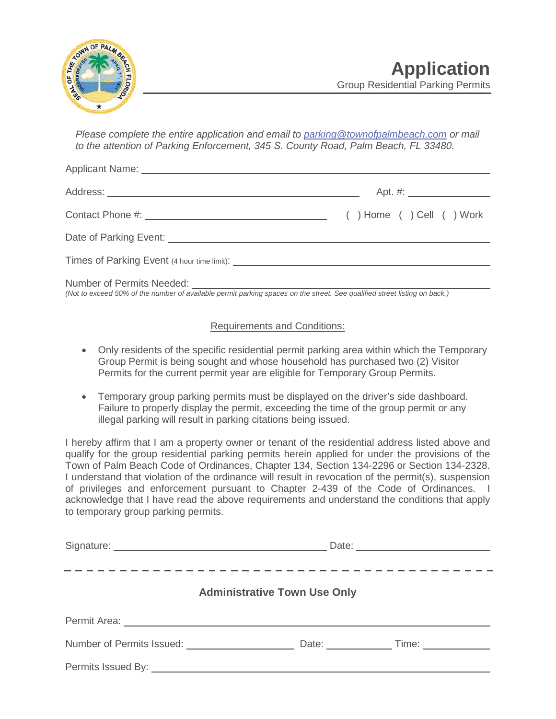

*Please complete the entire application and email to parking@townofpalmbeach.com or mail to the attention of Parking Enforcement, 345 S. County Road, Palm Beach, FL 33480.*

*(Not to exceed 50% of the number of available permit parking spaces on the street. See qualified street listing on back.)* 

## Requirements and Conditions:

- Only residents of the specific residential permit parking area within which the Temporary Group Permit is being sought and whose household has purchased two (2) Visitor Permits for the current permit year are eligible for Temporary Group Permits.
- Temporary group parking permits must be displayed on the driver's side dashboard. Failure to properly display the permit, exceeding the time of the group permit or any illegal parking will result in parking citations being issued.

I hereby affirm that I am a property owner or tenant of the residential address listed above and qualify for the group residential parking permits herein applied for under the provisions of the Town of Palm Beach Code of Ordinances, Chapter 134, Section 134-2296 or Section 134-2328. I understand that violation of the ordinance will result in revocation of the permit(s), suspension of privileges and enforcement pursuant to Chapter 2-439 of the Code of Ordinances. I acknowledge that I have read the above requirements and understand the conditions that apply to temporary group parking permits.

| <b>Administrative Town Use Only</b> |                                                                                                                                                                                                                                     |  |  |  |  |  |  |  |  |  |  |  |  |
|-------------------------------------|-------------------------------------------------------------------------------------------------------------------------------------------------------------------------------------------------------------------------------------|--|--|--|--|--|--|--|--|--|--|--|--|
|                                     | Permit Area: <u>Communications</u> Communications and Communications of the Communications of the Communications of the Communications of the Communications of the Communications of the Communications of the Communications of t |  |  |  |  |  |  |  |  |  |  |  |  |
|                                     |                                                                                                                                                                                                                                     |  |  |  |  |  |  |  |  |  |  |  |  |
|                                     |                                                                                                                                                                                                                                     |  |  |  |  |  |  |  |  |  |  |  |  |